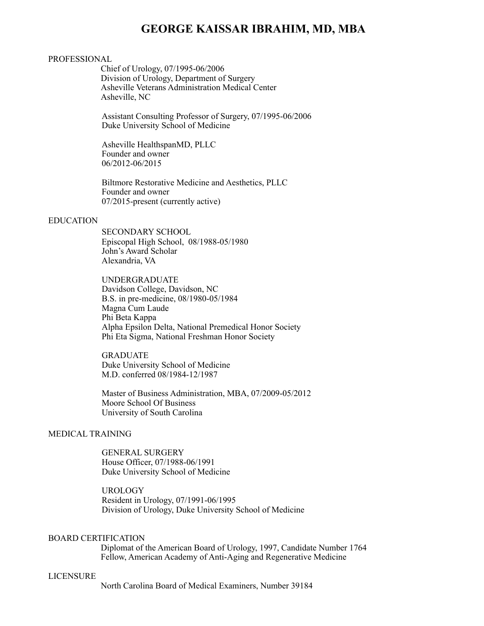# **GEORGE KAISSAR IBRAHIM, MD, MBA**

#### PROFESSIONAL

Chief of Urology, 07/1995-06/2006 Division of Urology, Department of Surgery Asheville Veterans Administration Medical Center Asheville, NC

Assistant Consulting Professor of Surgery, 07/1995-06/2006 Duke University School of Medicine

Asheville HealthspanMD, PLLC Founder and owner 06/2012-06/2015

Biltmore Restorative Medicine and Aesthetics, PLLC Founder and owner 07/2015-present (currently active)

#### EDUCATION

 SECONDARY SCHOOL Episcopal High School, 08/1988-05/1980 John's Award Scholar Alexandria, VA

UNDERGRADUATE Davidson College, Davidson, NC B.S. in pre-medicine, 08/1980-05/1984 Magna Cum Laude Phi Beta Kappa Alpha Epsilon Delta, National Premedical Honor Society Phi Eta Sigma, National Freshman Honor Society

GRADUATE Duke University School of Medicine M.D. conferred 08/1984-12/1987

Master of Business Administration, MBA, 07/2009-05/2012 Moore School Of Business University of South Carolina

## MEDICAL TRAINING

GENERAL SURGERY House Officer, 07/1988-06/1991 Duke University School of Medicine

UROLOGY Resident in Urology, 07/1991-06/1995 Division of Urology, Duke University School of Medicine

# BOARD CERTIFICATION

Diplomat of the American Board of Urology, 1997, Candidate Number 1764 Fellow, American Academy of Anti-Aging and Regenerative Medicine

#### LICENSURE

North Carolina Board of Medical Examiners, Number 39184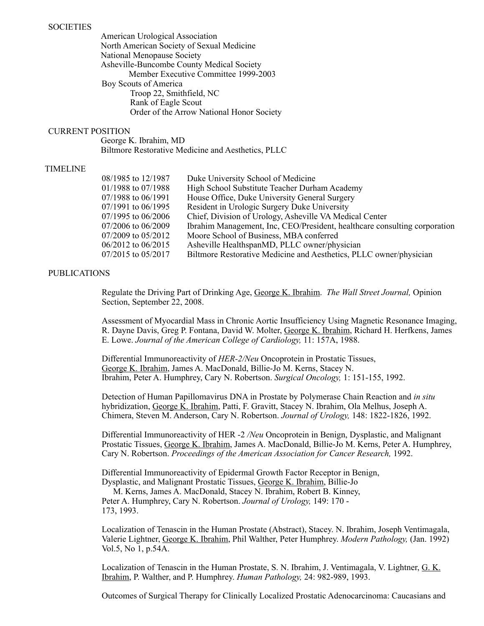# **SOCIETIES**

American Urological Association North American Society of Sexual Medicine National Menopause Society Asheville-Buncombe County Medical Society Member Executive Committee 1999-2003 Boy Scouts of America Troop 22, Smithfield, NC Rank of Eagle Scout Order of the Arrow National Honor Society

# CURRENT POSITION

George K. Ibrahim, MD Biltmore Restorative Medicine and Aesthetics, PLLC

# TIMELINE

| 08/1985 to 12/1987     | Duke University School of Medicine                                        |
|------------------------|---------------------------------------------------------------------------|
| 01/1988 to 07/1988     | High School Substitute Teacher Durham Academy                             |
| $07/1988$ to $06/1991$ | House Office, Duke University General Surgery                             |
| $07/1991$ to $06/1995$ | Resident in Urologic Surgery Duke University                              |
| $07/1995$ to $06/2006$ | Chief, Division of Urology, Asheville VA Medical Center                   |
| $07/2006$ to $06/2009$ | Ibrahim Management, Inc, CEO/President, healthcare consulting corporation |
| $07/2009$ to $05/2012$ | Moore School of Business, MBA conferred                                   |
| $06/2012$ to $06/2015$ | Asheville HealthspanMD, PLLC owner/physician                              |
| 07/2015 to 05/2017     | Biltmore Restorative Medicine and Aesthetics, PLLC owner/physician        |

# PUBLICATIONS

Regulate the Driving Part of Drinking Age, George K. Ibrahim. *The Wall Street Journal,* Opinion Section, September 22, 2008.

Assessment of Myocardial Mass in Chronic Aortic Insufficiency Using Magnetic Resonance Imaging, R. Dayne Davis, Greg P. Fontana, David W. Molter, George K. Ibrahim, Richard H. Herfkens, James E. Lowe. *Journal of the American College of Cardiology,* 11: 157A, 1988.

Differential Immunoreactivity of *HER-2/Neu* Oncoprotein in Prostatic Tissues, George K. Ibrahim, James A. MacDonald, Billie-Jo M. Kerns, Stacey N. Ibrahim, Peter A. Humphrey, Cary N. Robertson. *Surgical Oncology,* 1: 151-155, 1992.

Detection of Human Papillomavirus DNA in Prostate by Polymerase Chain Reaction and *in situ*  hybridization, George K. Ibrahim, Patti, F. Gravitt, Stacey N. Ibrahim, Ola Melhus, Joseph A. Chimera, Steven M. Anderson, Cary N. Robertson. *Journal of Urology,* 148: 1822-1826, 1992.

Differential Immunoreactivity of HER -2 */Neu* Oncoprotein in Benign, Dysplastic, and Malignant Prostatic Tissues, George K. Ibrahim, James A. MacDonald, Billie-Jo M. Kerns, Peter A. Humphrey, Cary N. Robertson. *Proceedings of the American Association for Cancer Research,* 1992.

Differential Immunoreactivity of Epidermal Growth Factor Receptor in Benign, Dysplastic, and Malignant Prostatic Tissues, George K. Ibrahim, Billie-Jo

M. Kerns, James A. MacDonald, Stacey N. Ibrahim, Robert B. Kinney, Peter A. Humphrey, Cary N. Robertson. *Journal of Urology,* 149: 170 - 173, 1993.

Localization of Tenascin in the Human Prostate (Abstract), Stacey. N. Ibrahim, Joseph Ventimagala, Valerie Lightner, George K. Ibrahim, Phil Walther, Peter Humphrey. *Modern Pathology,* (Jan. 1992) Vol.5, No 1, p.54A.

Localization of Tenascin in the Human Prostate, S. N. Ibrahim, J. Ventimagala, V. Lightner, G. K. Ibrahim, P. Walther, and P. Humphrey. *Human Pathology,* 24: 982-989, 1993.

Outcomes of Surgical Therapy for Clinically Localized Prostatic Adenocarcinoma: Caucasians and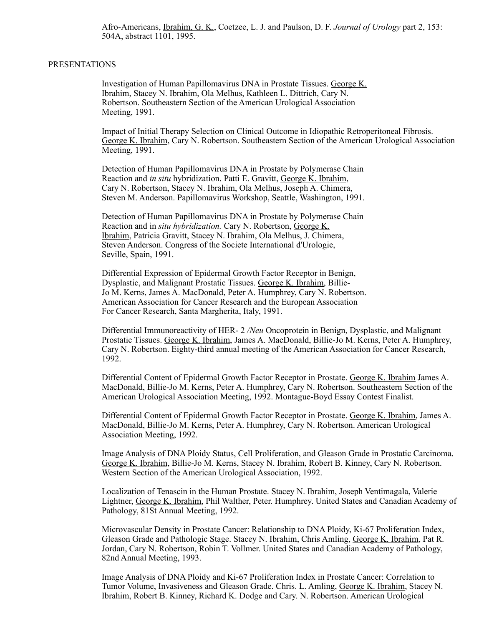Afro-Americans, Ibrahim, G. K., Coetzee, L. J. and Paulson, D. F. *Journal of Urology* part 2, 153: 504A, abstract 1101, 1995.

## PRESENTATIONS

Investigation of Human Papillomavirus DNA in Prostate Tissues. George K. Ibrahim, Stacey N. Ibrahim, Ola Melhus, Kathleen L. Dittrich, Cary N. Robertson. Southeastern Section of the American Urological Association Meeting, 1991.

Impact of Initial Therapy Selection on Clinical Outcome in Idiopathic Retroperitoneal Fibrosis. George K. Ibrahim, Cary N. Robertson. Southeastern Section of the American Urological Association Meeting, 1991.

Detection of Human Papillomavirus DNA in Prostate by Polymerase Chain Reaction and *in situ* hybridization. Patti E. Gravitt, George K. Ibrahim, Cary N. Robertson, Stacey N. Ibrahim, Ola Melhus, Joseph A. Chimera, Steven M. Anderson. Papillomavirus Workshop, Seattle, Washington, 1991.

Detection of Human Papillomavirus DNA in Prostate by Polymerase Chain Reaction and in *situ hybridization.* Cary N. Robertson, George K. Ibrahim, Patricia Gravitt, Stacey N. Ibrahim, Ola Melhus, J. Chimera, Steven Anderson. Congress of the Societe International d'Urologie, Seville, Spain, 1991.

Differential Expression of Epidermal Growth Factor Receptor in Benign, Dysplastic, and Malignant Prostatic Tissues. George K. Ibrahim, Billie-Jo M. Kerns, James A. MacDonald, Peter A. Humphrey, Cary N. Robertson. American Association for Cancer Research and the European Association For Cancer Research, Santa Margherita, Italy, 1991.

Differential Immunoreactivity of HER- 2 */Neu* Oncoprotein in Benign, Dysplastic, and Malignant Prostatic Tissues. George K. Ibrahim, James A. MacDonald, Billie-Jo M. Kerns, Peter A. Humphrey, Cary N. Robertson. Eighty-third annual meeting of the American Association for Cancer Research, 1992.

Differential Content of Epidermal Growth Factor Receptor in Prostate. George K. Ibrahim James A. MacDonald, Billie-Jo M. Kerns, Peter A. Humphrey, Cary N. Robertson. Southeastern Section of the American Urological Association Meeting, 1992. Montague-Boyd Essay Contest Finalist.

Differential Content of Epidermal Growth Factor Receptor in Prostate. George K. Ibrahim, James A. MacDonald, Billie-Jo M. Kerns, Peter A. Humphrey, Cary N. Robertson. American Urological Association Meeting, 1992.

Image Analysis of DNA Ploidy Status, Cell Proliferation, and Gleason Grade in Prostatic Carcinoma. George K. Ibrahim, Billie-Jo M. Kerns, Stacey N. Ibrahim, Robert B. Kinney, Cary N. Robertson. Western Section of the American Urological Association, 1992.

Localization of Tenascin in the Human Prostate. Stacey N. Ibrahim, Joseph Ventimagala, Valerie Lightner, George K. Ibrahim, Phil Walther, Peter. Humphrey. United States and Canadian Academy of Pathology, 81St Annual Meeting, 1992.

Microvascular Density in Prostate Cancer: Relationship to DNA Ploidy, Ki-67 Proliferation Index, Gleason Grade and Pathologic Stage. Stacey N. Ibrahim, Chris Amling, George K. Ibrahim, Pat R. Jordan, Cary N. Robertson, Robin T. Vollmer. United States and Canadian Academy of Pathology, 82nd Annual Meeting, 1993.

Image Analysis of DNA Ploidy and Ki-67 Proliferation Index in Prostate Cancer: Correlation to Tumor Volume, Invasiveness and Gleason Grade. Chris. L. Amling, George K. Ibrahim, Stacey N. Ibrahim, Robert B. Kinney, Richard K. Dodge and Cary. N. Robertson. American Urological